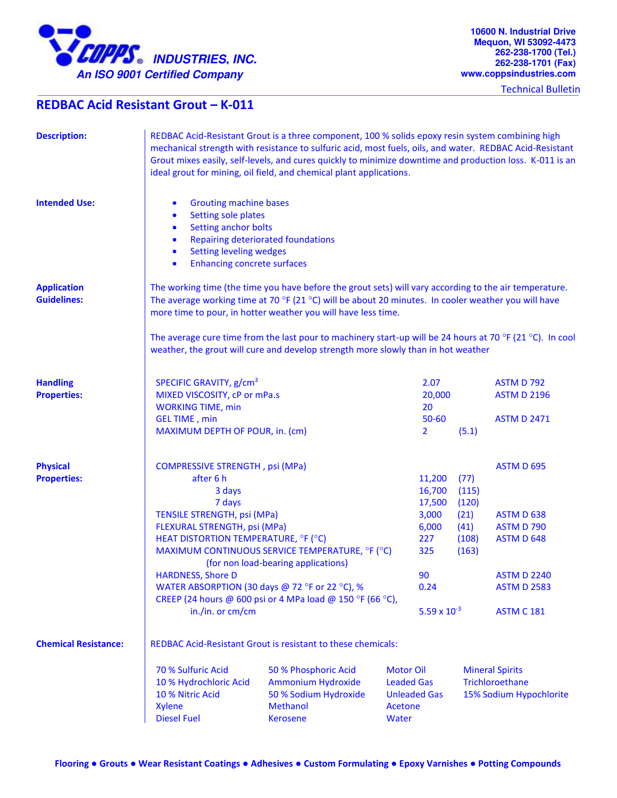

Technical Bulletin

## **REDBAC Acid Resistant Grout – K-011**

| <b>Description:</b>                      | REDBAC Acid-Resistant Grout is a three component, 100 % solids epoxy resin system combining high<br>mechanical strength with resistance to sulfuric acid, most fuels, oils, and water. REDBAC Acid-Resistant<br>Grout mixes easily, self-levels, and cures quickly to minimize downtime and production loss. K-011 is an<br>ideal grout for mining, oil field, and chemical plant applications.                                                |                                                                                                                                                                                                      |                                                                          |                                                                                   |                                                                                                                                            |  |
|------------------------------------------|------------------------------------------------------------------------------------------------------------------------------------------------------------------------------------------------------------------------------------------------------------------------------------------------------------------------------------------------------------------------------------------------------------------------------------------------|------------------------------------------------------------------------------------------------------------------------------------------------------------------------------------------------------|--------------------------------------------------------------------------|-----------------------------------------------------------------------------------|--------------------------------------------------------------------------------------------------------------------------------------------|--|
| <b>Intended Use:</b>                     | <b>Grouting machine bases</b><br>$\bullet$<br>Setting sole plates<br>$\bullet$<br>Setting anchor bolts<br>$\bullet$<br><b>Repairing deteriorated foundations</b><br>$\bullet$<br><b>Setting leveling wedges</b><br>$\bullet$<br><b>Enhancing concrete surfaces</b><br>$\bullet$                                                                                                                                                                |                                                                                                                                                                                                      |                                                                          |                                                                                   |                                                                                                                                            |  |
| <b>Application</b><br><b>Guidelines:</b> | The working time (the time you have before the grout sets) will vary according to the air temperature.<br>The average working time at 70 °F (21 °C) will be about 20 minutes. In cooler weather you will have<br>more time to pour, in hotter weather you will have less time.                                                                                                                                                                 |                                                                                                                                                                                                      |                                                                          |                                                                                   |                                                                                                                                            |  |
|                                          | The average cure time from the last pour to machinery start-up will be 24 hours at 70 °F (21 °C). In cool<br>weather, the grout will cure and develop strength more slowly than in hot weather                                                                                                                                                                                                                                                 |                                                                                                                                                                                                      |                                                                          |                                                                                   |                                                                                                                                            |  |
| <b>Handling</b><br><b>Properties:</b>    | SPECIFIC GRAVITY, g/cm <sup>3</sup><br>MIXED VISCOSITY, cP or mPa.s<br><b>WORKING TIME, min</b>                                                                                                                                                                                                                                                                                                                                                |                                                                                                                                                                                                      |                                                                          | 2.07<br>20,000                                                                    | <b>ASTM D 792</b><br><b>ASTM D 2196</b>                                                                                                    |  |
|                                          | <b>GEL TIME</b> , min<br>MAXIMUM DEPTH OF POUR, in. (cm)                                                                                                                                                                                                                                                                                                                                                                                       |                                                                                                                                                                                                      | 20<br>$50 - 60$<br>$\overline{2}$                                        | (5.1)                                                                             | <b>ASTM D 2471</b>                                                                                                                         |  |
| <b>Physical</b><br><b>Properties:</b>    | <b>COMPRESSIVE STRENGTH, psi (MPa)</b><br>after 6 h<br>3 days<br>7 days<br><b>TENSILE STRENGTH, psi (MPa)</b><br>FLEXURAL STRENGTH, psi (MPa)<br>HEAT DISTORTION TEMPERATURE, °F (°C)<br>MAXIMUM CONTINUOUS SERVICE TEMPERATURE, °F (°C)<br>(for non load-bearing applications)<br><b>HARDNESS, Shore D</b><br>WATER ABSORPTION (30 days @ 72 °F or 22 °C), %<br>CREEP (24 hours @ 600 psi or 4 MPa load @ 150 °F (66 °C),<br>in./in. or cm/cm |                                                                                                                                                                                                      | 11,200<br>16,700<br>17,500<br>3,000<br>6,000<br>227<br>325<br>90<br>0.24 | (77)<br>(115)<br>(120)<br>(21)<br>(41)<br>(108)<br>(163)<br>$5.59 \times 10^{-3}$ | <b>ASTM D 695</b><br>ASTM D 638<br><b>ASTM D 790</b><br><b>ASTM D 648</b><br><b>ASTM D 2240</b><br><b>ASTM D 2583</b><br><b>ASTM C 181</b> |  |
| <b>Chemical Resistance:</b>              | REDBAC Acid-Resistant Grout is resistant to these chemicals:                                                                                                                                                                                                                                                                                                                                                                                   |                                                                                                                                                                                                      |                                                                          |                                                                                   |                                                                                                                                            |  |
|                                          | 70 % Sulfuric Acid<br>10 % Hydrochloric Acid<br>10 % Nitric Acid<br><b>Xylene</b><br><b>Diesel Fuel</b>                                                                                                                                                                                                                                                                                                                                        | 50 % Phosphoric Acid<br><b>Motor Oil</b><br><b>Ammonium Hydroxide</b><br><b>Leaded Gas</b><br>50 % Sodium Hydroxide<br><b>Unleaded Gas</b><br><b>Methanol</b><br>Acetone<br><b>Kerosene</b><br>Water |                                                                          | <b>Mineral Spirits</b><br>Trichloroethane<br>15% Sodium Hypochlorite              |                                                                                                                                            |  |